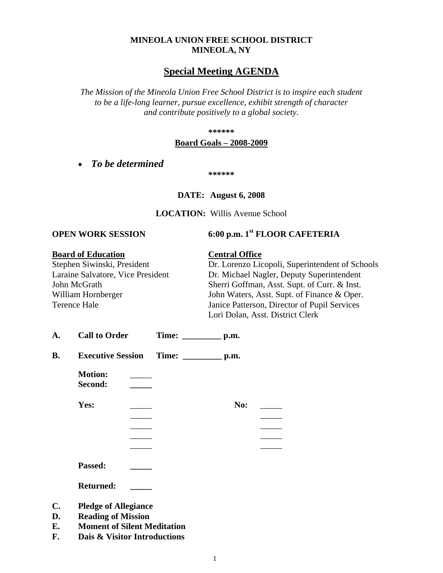#### **MINEOLA UNION FREE SCHOOL DISTRICT MINEOLA, NY**

# **Special Meeting AGENDA**

*The Mission of the Mineola Union Free School District is to inspire each student to be a life-long learner, pursue excellence, exhibit strength of character and contribute positively to a global society.*

**\*\*\*\*\*\***

#### **Board Goals – 2008-2009**

• *To be determined*

**\*\*\*\*\*\***

**DATE: August 6, 2008**

**LOCATION:** Willis Avenue School

# **OPEN WORK SESSION 6:00 p.m. 1st FLOOR CAFETERIA**

#### **Board of Education Central Office**

Stephen Siwinski, President Dr. Lorenzo Licopoli, Superintendent of Schools Laraine Salvatore, Vice President Dr. Michael Nagler, Deputy Superintendent John McGrath Sherri Goffman, Asst. Supt. of Curr. & Inst. William Hornberger John Waters, Asst. Supt. of Finance & Oper. Terence Hale Janice Patterson, Director of Pupil Services Lori Dolan, Asst. District Clerk

| А. | <b>Call to Order</b> | <b>Time:</b> | p.m. |
|----|----------------------|--------------|------|
|----|----------------------|--------------|------|

| В. | <b>Executive Session</b> | Time: | p.m. |
|----|--------------------------|-------|------|
|----|--------------------------|-------|------|

**Motion:** \_\_\_\_\_ **Second: \_\_\_\_\_**

**Yes:** \_\_\_\_\_ **No:** \_\_\_\_\_

\_\_\_\_\_ \_\_\_\_\_

\_\_\_\_\_ \_\_\_\_\_ \_\_\_\_\_ \_\_\_\_\_

\_\_\_\_\_ \_\_\_\_\_

**Passed: \_\_\_\_\_**

**Returned: \_\_\_\_\_**

- **C. Pledge of Allegiance**
- **D. Reading of Mission**
- **E. Moment of Silent Meditation**
- **F. Dais & Visitor Introductions**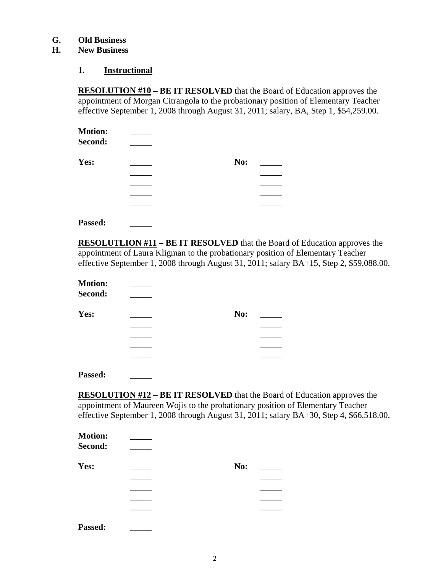### **G. Old Business**

# **H. New Business**

#### **1. Instructional**

**RESOLUTION #10 – BE IT RESOLVED** that the Board of Education approves the appointment of Morgan Citrangola to the probationary position of Elementary Teacher effective September 1, 2008 through August 31, 2011; salary, BA, Step 1, \$54,259.00.

| <b>Motion:</b> |     |  |
|----------------|-----|--|
| Second:        |     |  |
| Yes:           | No: |  |
|                |     |  |
|                |     |  |
|                |     |  |
|                |     |  |

**Passed: \_\_\_\_\_**

**RESOLUTLION #11 – BE IT RESOLVED** that the Board of Education approves the appointment of Laura Kligman to the probationary position of Elementary Teacher effective September 1, 2008 through August 31, 2011; salary BA+15, Step 2, \$59,088.00.

| <b>Motion:</b><br>Second: |     |  |
|---------------------------|-----|--|
| Yes:                      | No: |  |
|                           |     |  |
|                           |     |  |
|                           |     |  |
|                           |     |  |
|                           |     |  |

**Passed: \_\_\_\_\_**

**RESOLUTION #12 – BE IT RESOLVED** that the Board of Education approves the appointment of Maureen Wojis to the probationary position of Elementary Teacher effective September 1, 2008 through August 31, 2011; salary BA+30, Step 4, \$66,518.00.

| <b>Motion:</b><br>Second: |     |  |
|---------------------------|-----|--|
| Yes:                      | No: |  |
|                           |     |  |
|                           |     |  |
|                           |     |  |
|                           |     |  |
| Passed:                   |     |  |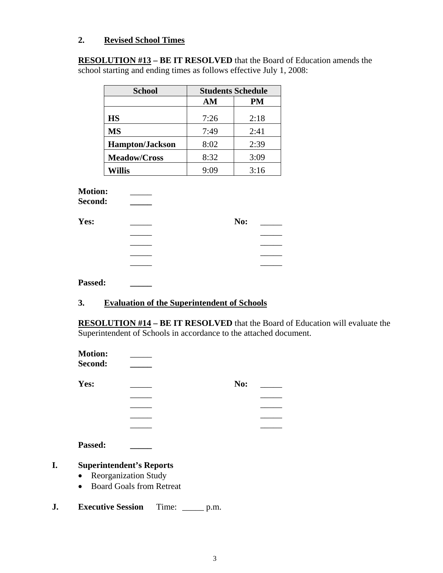# **2. Revised School Times**

**RESOLUTION #13 – BE IT RESOLVED** that the Board of Education amends the school starting and ending times as follows effective July 1, 2008:

| <b>School</b>          | <b>Students Schedule</b> |      |
|------------------------|--------------------------|------|
|                        | AM                       | PM   |
| <b>HS</b>              | 7:26                     | 2:18 |
| <b>MS</b>              | 7:49                     | 2:41 |
| <b>Hampton/Jackson</b> | 8:02                     | 2:39 |
| <b>Meadow/Cross</b>    | 8:32                     | 3:09 |
| Willis                 | 9:09                     | 3:16 |

# **Motion:** \_\_\_\_\_

| Yes: | No: |
|------|-----|
|      |     |
|      |     |
|      |     |
|      |     |

#### **Passed: \_\_\_\_\_**

# **3. Evaluation of the Superintendent of Schools**

**RESOLUTION #14 – BE IT RESOLVED** that the Board of Education will evaluate the Superintendent of Schools in accordance to the attached document.

| Second:<br>Yes:<br>No:<br><b>Passed:</b><br><b>Superintendent's Reports</b><br><b>Reorganization Study</b><br>$\bullet$<br><b>Board Goals from Retreat</b> | <b>Motion:</b> |  |  |
|------------------------------------------------------------------------------------------------------------------------------------------------------------|----------------|--|--|
|                                                                                                                                                            |                |  |  |
|                                                                                                                                                            |                |  |  |
|                                                                                                                                                            |                |  |  |
|                                                                                                                                                            |                |  |  |
|                                                                                                                                                            |                |  |  |
|                                                                                                                                                            |                |  |  |
|                                                                                                                                                            |                |  |  |
|                                                                                                                                                            |                |  |  |
|                                                                                                                                                            |                |  |  |
|                                                                                                                                                            |                |  |  |

**J. Executive Session** Time: \_\_\_\_\_ p.m.